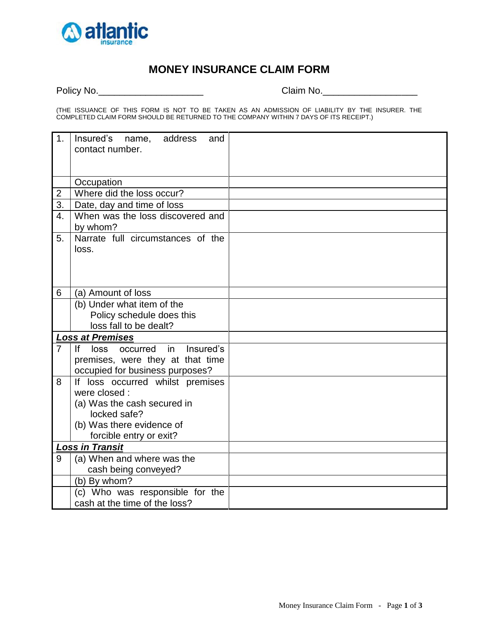

## **MONEY INSURANCE CLAIM FORM**

L

Policy No.\_\_\_\_\_\_\_\_\_\_\_\_\_\_\_\_\_\_\_\_ Claim No.\_\_\_\_\_\_\_\_\_\_\_\_\_\_\_\_\_\_

(THE ISSUANCE OF THIS FORM IS NOT TO BE TAKEN AS AN ADMISSION OF LIABILITY BY THE INSURER. THE COMPLETED CLAIM FORM SHOULD BE RETURNED TO THE COMPANY WITHIN 7 DAYS OF ITS RECEIPT.)

| 1 <sub>1</sub>          | Insured's<br>address<br>name,<br>and      |  |
|-------------------------|-------------------------------------------|--|
|                         | contact number.                           |  |
|                         |                                           |  |
|                         |                                           |  |
|                         | Occupation                                |  |
| 2                       | Where did the loss occur?                 |  |
| 3.                      | Date, day and time of loss                |  |
| 4.                      | When was the loss discovered and          |  |
|                         | by whom?                                  |  |
| 5.                      | Narrate full circumstances of the         |  |
|                         | loss.                                     |  |
|                         |                                           |  |
|                         |                                           |  |
|                         |                                           |  |
| 6                       | (a) Amount of loss                        |  |
|                         | (b) Under what item of the                |  |
|                         | Policy schedule does this                 |  |
|                         | loss fall to be dealt?                    |  |
| <b>Loss at Premises</b> |                                           |  |
| $\overline{7}$          | in<br>Insured's<br>lf<br>occurred<br>loss |  |
|                         | premises, were they at that time          |  |
|                         | occupied for business purposes?           |  |
| 8                       | If loss occurred whilst premises          |  |
|                         | were closed:                              |  |
|                         | (a) Was the cash secured in               |  |
|                         | locked safe?                              |  |
|                         | (b) Was there evidence of                 |  |
|                         | forcible entry or exit?                   |  |
| <b>Loss in Transit</b>  |                                           |  |
| 9                       | (a) When and where was the                |  |
|                         | cash being conveyed?                      |  |
|                         | (b) By whom?                              |  |
|                         | (c) Who was responsible for the           |  |
|                         | cash at the time of the loss?             |  |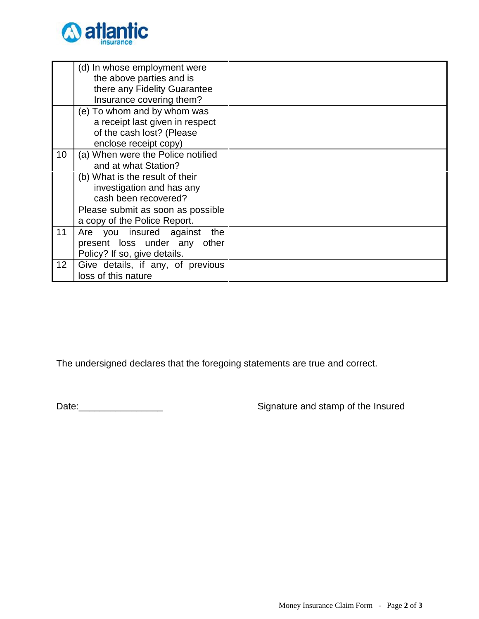

|    | (d) In whose employment were<br>the above parties and is                                                             |  |
|----|----------------------------------------------------------------------------------------------------------------------|--|
|    | there any Fidelity Guarantee<br>Insurance covering them?                                                             |  |
|    | (e) To whom and by whom was<br>a receipt last given in respect<br>of the cash lost? (Please<br>enclose receipt copy) |  |
| 10 | (a) When were the Police notified<br>and at what Station?                                                            |  |
|    | (b) What is the result of their<br>investigation and has any<br>cash been recovered?                                 |  |
|    | Please submit as soon as possible<br>a copy of the Police Report.                                                    |  |
| 11 | Are you insured against<br>the<br>present loss under any other<br>Policy? If so, give details.                       |  |
| 12 | Give details, if any, of previous<br>loss of this nature                                                             |  |

The undersigned declares that the foregoing statements are true and correct.

Date:\_\_\_\_\_\_\_\_\_\_\_\_\_\_\_\_ Signature and stamp of the Insured